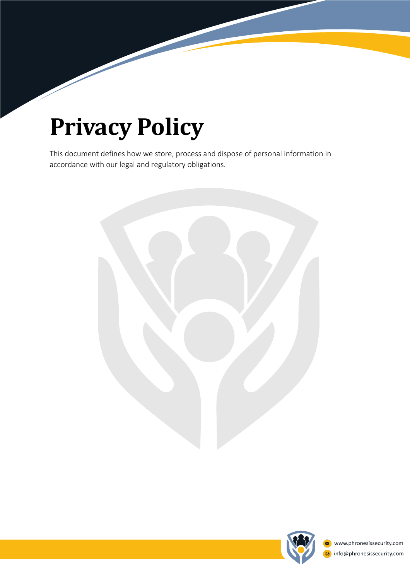# **Privacy Policy**

This document defines how we store, process and dispose of personal information in accordance with our legal and regulatory obligations.



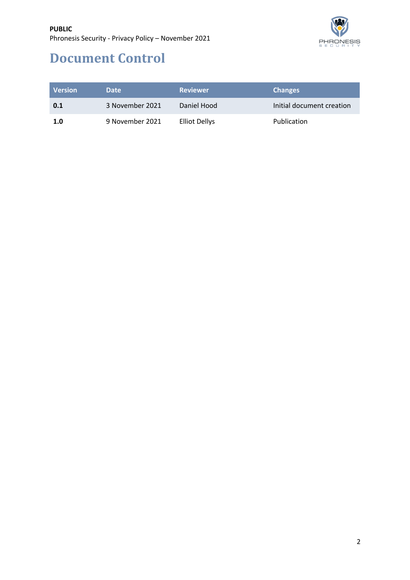

# **Document Control**

| <b>Version</b> | <b>Date</b>     | <b>Reviewer</b>      | <b>Changes</b>            |
|----------------|-----------------|----------------------|---------------------------|
| 0.1            | 3 November 2021 | Daniel Hood          | Initial document creation |
| 1.0            | 9 November 2021 | <b>Elliot Dellys</b> | Publication               |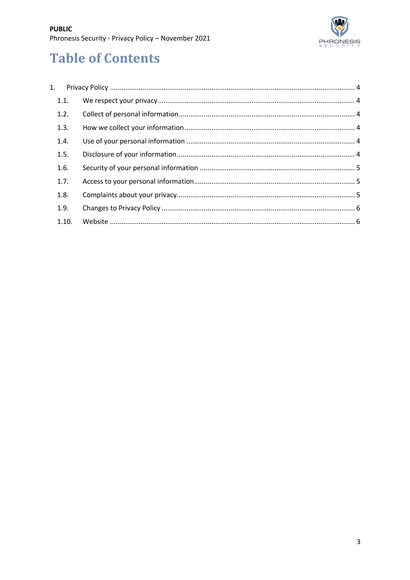

# **Table of Contents**

| $\mathbf{1}$ . |  |
|----------------|--|
| 1.1.           |  |
| 1.2.           |  |
| 1.3.           |  |
| 1.4.           |  |
| 1.5.           |  |
| 1.6.           |  |
| 1.7.           |  |
| 1.8.           |  |
| 1.9.           |  |
| 1.10.          |  |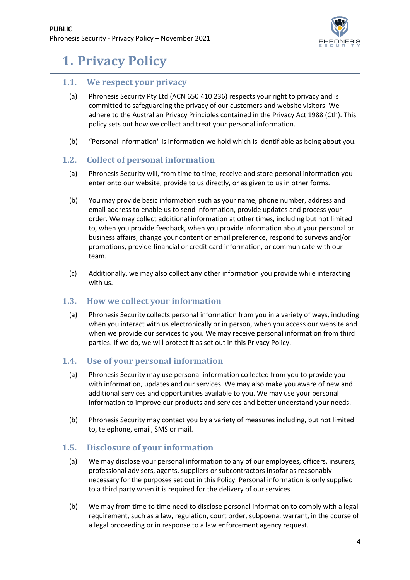

# **1. Privacy Policy**

# **1.1.** We respect your privacy

- (a) Phronesis Security Pty Ltd (ACN 650 410 236) respects your right to privacy and is committed to safeguarding the privacy of our customers and website visitors. We adhere to the Australian Privacy Principles contained in the Privacy Act 1988 (Cth). This policy sets out how we collect and treat your personal information.
- (b) "Personal information" is information we hold which is identifiable as being about you.

# **1.2. Collect of personal information**

- (a) Phronesis Security will, from time to time, receive and store personal information you enter onto our website, provide to us directly, or as given to us in other forms.
- (b) You may provide basic information such as your name, phone number, address and email address to enable us to send information, provide updates and process your order. We may collect additional information at other times, including but not limited to, when you provide feedback, when you provide information about your personal or business affairs, change your content or email preference, respond to surveys and/or promotions, provide financial or credit card information, or communicate with our team.
- (c) Additionally, we may also collect any other information you provide while interacting with us.

# **1.3.** How we collect your information

(a) Phronesis Security collects personal information from you in a variety of ways, including when you interact with us electronically or in person, when you access our website and when we provide our services to you. We may receive personal information from third parties. If we do, we will protect it as set out in this Privacy Policy.

# **1.4.** Use of your personal information

- (a) Phronesis Security may use personal information collected from you to provide you with information, updates and our services. We may also make you aware of new and additional services and opportunities available to you. We may use your personal information to improve our products and services and better understand your needs.
- (b) Phronesis Security may contact you by a variety of measures including, but not limited to, telephone, email, SMS or mail.

# **1.5.** Disclosure of your information

- (a) We may disclose your personal information to any of our employees, officers, insurers, professional advisers, agents, suppliers or subcontractors insofar as reasonably necessary for the purposes set out in this Policy. Personal information is only supplied to a third party when it is required for the delivery of our services.
- (b) We may from time to time need to disclose personal information to comply with a legal requirement, such as a law, regulation, court order, subpoena, warrant, in the course of a legal proceeding or in response to a law enforcement agency request.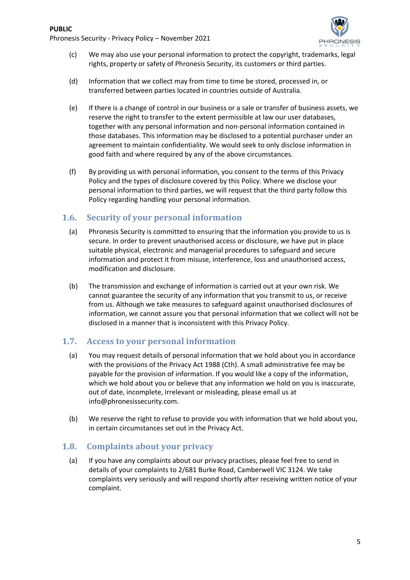

- (c) We may also use your personal information to protect the copyright, trademarks, legal rights, property or safety of Phronesis Security, its customers or third parties.
- (d) Information that we collect may from time to time be stored, processed in, or transferred between parties located in countries outside of Australia.
- (e) If there is a change of control in our business or a sale or transfer of business assets, we reserve the right to transfer to the extent permissible at law our user databases, together with any personal information and non-personal information contained in those databases. This information may be disclosed to a potential purchaser under an agreement to maintain confidentiality. We would seek to only disclose information in good faith and where required by any of the above circumstances.
- (f) By providing us with personal information, you consent to the terms of this Privacy Policy and the types of disclosure covered by this Policy. Where we disclose your personal information to third parties, we will request that the third party follow this Policy regarding handling your personal information.

# **1.6.** Security of your personal information

- (a) Phronesis Security is committed to ensuring that the information you provide to us is secure. In order to prevent unauthorised access or disclosure, we have put in place suitable physical, electronic and managerial procedures to safeguard and secure information and protect it from misuse, interference, loss and unauthorised access, modification and disclosure.
- (b) The transmission and exchange of information is carried out at your own risk. We cannot guarantee the security of any information that you transmit to us, or receive from us. Although we take measures to safeguard against unauthorised disclosures of information, we cannot assure you that personal information that we collect will not be disclosed in a manner that is inconsistent with this Privacy Policy.

# **1.7.** Access to your personal information

- (a) You may request details of personal information that we hold about you in accordance with the provisions of the Privacy Act 1988 (Cth). A small administrative fee may be payable for the provision of information. If you would like a copy of the information, which we hold about you or believe that any information we hold on you is inaccurate, out of date, incomplete, irrelevant or misleading, please email us at info@phronesissecurity.com.
- (b) We reserve the right to refuse to provide you with information that we hold about you, in certain circumstances set out in the Privacy Act.

# **1.8. Complaints about your privacy**

(a) If you have any complaints about our privacy practises, please feel free to send in details of your complaints to 2/681 Burke Road, Camberwell VIC 3124. We take complaints very seriously and will respond shortly after receiving written notice of your complaint.